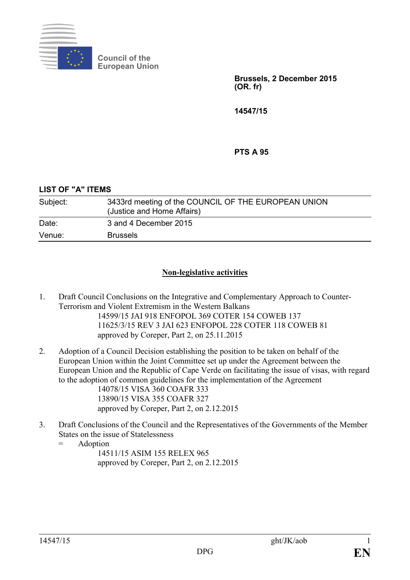

**Council of the European Union**

> **Brussels, 2 December 2015 (OR. fr)**

**14547/15**

**PTS A 95**

**LIST OF "A" ITEMS**

| Subject: | 3433rd meeting of the COUNCIL OF THE EUROPEAN UNION<br>(Justice and Home Affairs) |
|----------|-----------------------------------------------------------------------------------|
| Date:    | 3 and 4 December 2015                                                             |
| Venue:   | <b>Brussels</b>                                                                   |

## **Non-legislative activities**

- 1. Draft Council Conclusions on the Integrative and Complementary Approach to Counter-Terrorism and Violent Extremism in the Western Balkans 14599/15 JAI 918 ENFOPOL 369 COTER 154 COWEB 137 11625/3/15 REV 3 JAI 623 ENFOPOL 228 COTER 118 COWEB 81 approved by Coreper, Part 2, on 25.11.2015
- 2. Adoption of a Council Decision establishing the position to be taken on behalf of the European Union within the Joint Committee set up under the Agreement between the European Union and the Republic of Cape Verde on facilitating the issue of visas, with regard to the adoption of common guidelines for the implementation of the Agreement

14078/15 VISA 360 COAFR 333 13890/15 VISA 355 COAFR 327 approved by Coreper, Part 2, on 2.12.2015

- 3. Draft Conclusions of the Council and the Representatives of the Governments of the Member States on the issue of Statelessness
	- = Adoption

14511/15 ASIM 155 RELEX 965 approved by Coreper, Part 2, on 2.12.2015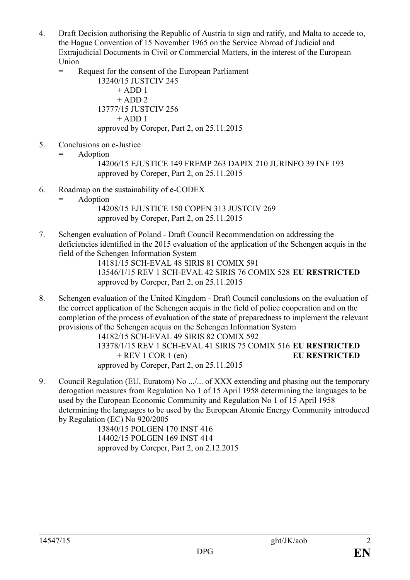- 4. Draft Decision authorising the Republic of Austria to sign and ratify, and Malta to accede to, the Hague Convention of 15 November 1965 on the Service Abroad of Judicial and Extrajudicial Documents in Civil or Commercial Matters, in the interest of the European Union
	- = Request for the consent of the European Parliament

13240/15 JUSTCIV 245  $+$  ADD 1  $+$  ADD 2 13777/15 JUSTCIV 256  $+$  ADD 1 approved by Coreper, Part 2, on 25.11.2015

- 5. Conclusions on e-Justice
	- = Adoption

14206/15 EJUSTICE 149 FREMP 263 DAPIX 210 JURINFO 39 INF 193 approved by Coreper, Part 2, on 25.11.2015

- 6. Roadmap on the sustainability of e-CODEX
	- = Adoption 14208/15 EJUSTICE 150 COPEN 313 JUSTCIV 269 approved by Coreper, Part 2, on 25.11.2015
- 7. Schengen evaluation of Poland Draft Council Recommendation on addressing the deficiencies identified in the 2015 evaluation of the application of the Schengen acquis in the field of the Schengen Information System

14181/15 SCH-EVAL 48 SIRIS 81 COMIX 591 13546/1/15 REV 1 SCH-EVAL 42 SIRIS 76 COMIX 528 **EU RESTRICTED** approved by Coreper, Part 2, on 25.11.2015

8. Schengen evaluation of the United Kingdom - Draft Council conclusions on the evaluation of the correct application of the Schengen acquis in the field of police cooperation and on the completion of the process of evaluation of the state of preparedness to implement the relevant provisions of the Schengen acquis on the Schengen Information System

14182/15 SCH-EVAL 49 SIRIS 82 COMIX 592 13378/1/15 REV 1 SCH-EVAL 41 SIRIS 75 COMIX 516 **EU RESTRICTED** + REV 1 COR 1 (en) **EU RESTRICTED** approved by Coreper, Part 2, on 25.11.2015

9. Council Regulation (EU, Euratom) No .../... of XXX extending and phasing out the temporary derogation measures from Regulation No 1 of 15 April 1958 determining the languages to be used by the European Economic Community and Regulation No 1 of 15 April 1958 determining the languages to be used by the European Atomic Energy Community introduced by Regulation (EC) No 920/2005

13840/15 POLGEN 170 INST 416 14402/15 POLGEN 169 INST 414 approved by Coreper, Part 2, on 2.12.2015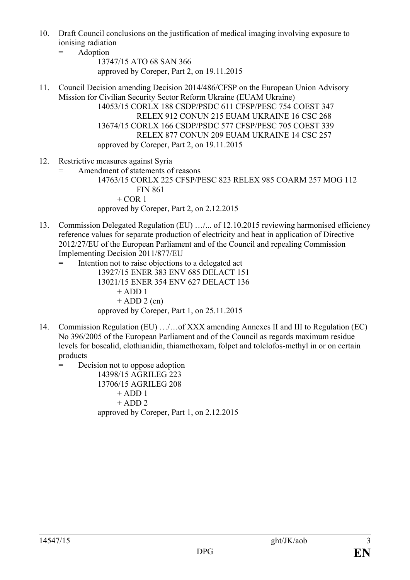- 10. Draft Council conclusions on the justification of medical imaging involving exposure to ionising radiation
	- = Adoption
		- 13747/15 ATO 68 SAN 366 approved by Coreper, Part 2, on 19.11.2015
- 11. Council Decision amending Decision 2014/486/CFSP on the European Union Advisory Mission for Civilian Security Sector Reform Ukraine (EUAM Ukraine) 14053/15 CORLX 188 CSDP/PSDC 611 CFSP/PESC 754 COEST 347 RELEX 912 CONUN 215 EUAM UKRAINE 16 CSC 268 13674/15 CORLX 166 CSDP/PSDC 577 CFSP/PESC 705 COEST 339 RELEX 877 CONUN 209 EUAM UKRAINE 14 CSC 257 approved by Coreper, Part 2, on 19.11.2015
- 12. Restrictive measures against Syria
	- Amendment of statements of reasons

14763/15 CORLX 225 CFSP/PESC 823 RELEX 985 COARM 257 MOG 112 FIN 861  $+$  COR 1 approved by Coreper, Part 2, on 2.12.2015

- 13. Commission Delegated Regulation (EU) ...  $/$ ... of 12.10.2015 reviewing harmonised efficiency reference values for separate production of electricity and heat in application of Directive 2012/27/EU of the European Parliament and of the Council and repealing Commission Implementing Decision 2011/877/EU
	- = Intention not to raise objections to a delegated act 13927/15 ENER 383 ENV 685 DELACT 151 13021/15 ENER 354 ENV 627 DELACT 136  $+$  ADD 1  $+$  ADD 2 (en) approved by Coreper, Part 1, on 25.11.2015
- 14. Commission Regulation (EU) …/…of XXX amending Annexes II and III to Regulation (EC) No 396/2005 of the European Parliament and of the Council as regards maximum residue levels for boscalid, clothianidin, thiamethoxam, folpet and tolclofos-methyl in or on certain products
	- = Decision not to oppose adoption

14398/15 AGRILEG 223 13706/15 AGRILEG 208  $+$  ADD 1  $+$  ADD 2 approved by Coreper, Part 1, on 2.12.2015